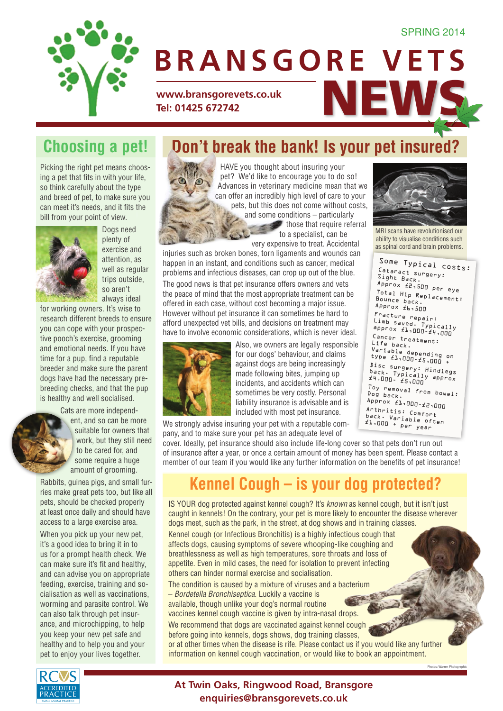#### SPRING 2014

Some Typical costs:<br>Catanaci Cataract surgery: Sight Back.

MRI scans have revolutionised our ability to visualise conditions such as spinal cord and brain problems.

Approx £2,500 per eye Total Hip Replacement:

Variable<br>type £1,000-£5,000 +<br>n.

Disc surgery: Hindlegs<br>back. Typically approx<br>£4,000- £5,000

Toy removal from bowel: Dog back. Dog back.<br>Approx £1,000-£2,000 Arthritis: Comfort back. Variable often £1,000 + per year

Bounce back. Approx £6,500 Fracture repair: Limb saved. Typically<br>approx £1,000–£4,000<br>c. Cancer treatment: Life back.



# WWW.bransgorevets.co.uk<br>Tel: 01425 672742 **Tel: 01425 672742 BRANSGORE VETS**

## **Choosing a pet!**

Picking the right pet means choosing a pet that fits in with your life, so think carefully about the type and breed of pet, to make sure you can meet it's needs, and it fits the bill from your point of view.



Dogs need plenty of exercise and attention, as well as regular trips outside, so aren't always ideal

for working owners. It's wise to research different breeds to ensure you can cope with your prospective pooch's exercise, grooming and emotional needs. If you have time for a pup, find a reputable breeder and make sure the parent dogs have had the necessary prebreeding checks, and that the pup is healthy and well socialised.

Cats are more independ-

ent, and so can be more suitable for owners that work, but they still need to be cared for, and some require a huge amount of grooming.

Rabbits, guinea pigs, and small furries make great pets too, but like all pets, should be checked properly at least once daily and should have access to a large exercise area.

When you pick up your new pet, it's a good idea to bring it in to us for a prompt health check. We can make sure it's fit and healthy, and can advise you on appropriate feeding, exercise, training and socialisation as well as vaccinations, worming and parasite control. We can also talk through pet insurance, and microchipping, to help you keep your new pet safe and healthy and to help you and your pet to enjoy your lives together.

### **Don't break the bank! Is your pet insured?**

HAVE you thought about insuring your pet? We'd like to encourage you to do so! Advances in veterinary medicine mean that we can offer an incredibly high level of care to your pets, but this does not come without costs, and some conditions – particularly  $\blacktriangleright$  those that require referral to a specialist, can be very expensive to treat. Accidental

injuries such as broken bones, torn ligaments and wounds can happen in an instant, and conditions such as cancer, medical problems and infectious diseases, can crop up out of the blue.

The good news is that pet insurance offers owners and vets the peace of mind that the most appropriate treatment can be offered in each case, without cost becoming a major issue. However without pet insurance it can sometimes be hard to afford unexpected vet bills, and decisions on treatment may have to involve economic considerations, which is never ideal.



 $\odot$ 

Also, we owners are legally responsible for our dogs' behaviour, and claims against dogs are being increasingly made following bites, jumping up incidents, and accidents which can sometimes be very costly. Personal liability insurance is advisable and is included with most pet insurance.

We strongly advise insuring your pet with a reputable company, and to make sure your pet has an adequate level of

cover. Ideally, pet insurance should also include life-long cover so that pets don't run out of insurance after a year, or once a certain amount of money has been spent. Please contact a member of our team if you would like any further information on the benefits of pet insurance!

## **Kennel Cough – is your dog protected?**

IS YOUR dog protected against kennel cough? It's *known* as kennel cough, but it isn't just caught in kennels! On the contrary, your pet is more likely to encounter the disease wherever dogs meet, such as the park, in the street, at dog shows and in training classes. Kennel cough (or Infectious Bronchitis) is a highly infectious cough that affects dogs, causing symptoms of severe whooping-like coughing and breathlessness as well as high temperatures, sore throats and loss of appetite. Even in mild cases, the need for isolation to prevent infecting others can hinder normal exercise and socialisation.

The condition is caused by a mixture of viruses and a bacterium – *Bordetella Bronchiseptica*. Luckily a vaccine is available, though unlike your dog's normal routine vaccines kennel cough vaccine is given by intra-nasal drops. We recommend that dogs are vaccinated against kennel cough before going into kennels, dogs shows, dog training classes, or at other times when the disease is rife. Please contact us if you would like any further information on kennel cough vaccination, or would like to book an appointment.

Photos: Warren Pho

#### **At Twin Oaks, Ringwood Road, Bransgore enquiries@bransgorevets.co.uk**